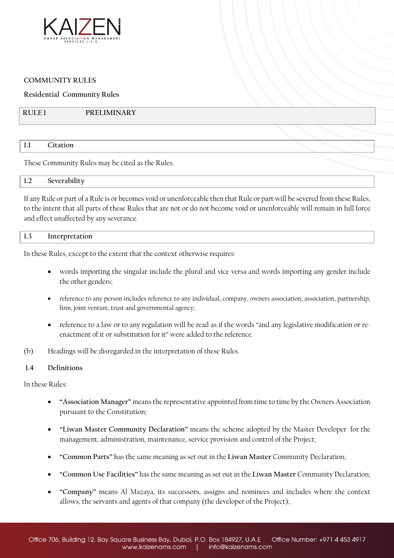

# **COMMUNITY RULES**

**Residential Community Rules** 

| PRELIMINARY<br>  RULE 1 |
|-------------------------|
|-------------------------|

#### **1.1 Citation**

These Community Rules may be cited as the Rules.

| - -<br>$\mathbf{I} \cdot \mathbf{L}$ | Severability<br>the contract of the contract of the contract of the contract of the contract of the contract of the contract of |  |  |
|--------------------------------------|---------------------------------------------------------------------------------------------------------------------------------|--|--|
|                                      |                                                                                                                                 |  |  |

If any Rule or part of a Rule is or becomes void or unenforceable then that Rule or part will be severed from these Rules, to the intent that all parts of these Rules that are not or do not become void or unenforceable will remain in full force and effect unaffected by any severance.

| $\perp$ 1.3<br>Interpretation |  |
|-------------------------------|--|
|-------------------------------|--|

In these Rules, except to the extent that the context otherwise requires:

- words importing the singular include the plural and vice versa and words importing any gender include the other genders;
- reference to any person includes reference to any individual, company, owners association, association, partnership, firm, joint venture, trust and governmental agency;
- reference to a law or to any regulation will be read as if the words "and any legislative modification or reenactment of it or substitution for it" were added to the reference.
- (b) Headings will be disregarded in the interpretation of these Rules.

# **1.4 Definitions**

In these Rules:

- **"Association Manager"** means the representative appointed from time to time by the Owners Association pursuant to the Constitution;
- **"Liwan Master Community Declaration"** means the scheme adopted by the Master Developer for the management, administration, maintenance, service provision and control of the Project;
- **"Common Parts"** has the same meaning as set out in the **Liwan Master** Community Declaration;
- **"Common Use Facilities"** has the same meaning as set out in the **Liwan Master** Community Declaration;
- **"Company"** means Al Mazaya, its successors, assigns and nominees and includes where the context allows, the servants and agents of that company (the developer of the Project);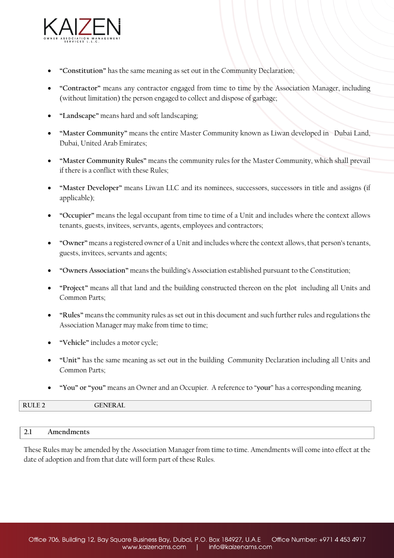

- **"Constitution"** has the same meaning as set out in the Community Declaration;
- **"Contractor"** means any contractor engaged from time to time by the Association Manager, including (without limitation) the person engaged to collect and dispose of garbage;
- **"Landscape"** means hard and soft landscaping;
- **"Master Community"** means the entire Master Community known as Liwan developed in Dubai Land, Dubai, United Arab Emirates;
- **"Master Community Rules"** means the community rules for the Master Community, which shall prevail if there is a conflict with these Rules;
- **"Master Developer"** means Liwan LLC and its nominees, successors, successors in title and assigns (if applicable);
- **"Occupier"** means the legal occupant from time to time of a Unit and includes where the context allows tenants, guests, invitees, servants, agents, employees and contractors;
- **"Owner"** means a registered owner of a Unit and includes where the context allows, that person's tenants, guests, invitees, servants and agents;
- **"Owners Association"** means the building's Association established pursuant to the Constitution;
- **"Project"** means all that land and the building constructed thereon on the plot including all Units and Common Parts;
- **"Rules"** means the community rules as set out in this document and such further rules and regulations the Association Manager may make from time to time;
- **"Vehicle"** includes a motor cycle;
- **"Unit"** has the same meaning as set out in the building Community Declaration including all Units and Common Parts;
- **"You" or "you"** means an Owner and an Occupier. A reference to "**your**" has a corresponding meaning.

|  |  |  |  |  |  |  |  | GENERAL<br>the contract of the contract of the contract of the contract of the contract of the contract of the contract of |  | RULE <sub>2</sub> |
|--|--|--|--|--|--|--|--|----------------------------------------------------------------------------------------------------------------------------|--|-------------------|
|--|--|--|--|--|--|--|--|----------------------------------------------------------------------------------------------------------------------------|--|-------------------|

# **2.1 Amendments**

These Rules may be amended by the Association Manager from time to time. Amendments will come into effect at the date of adoption and from that date will form part of these Rules.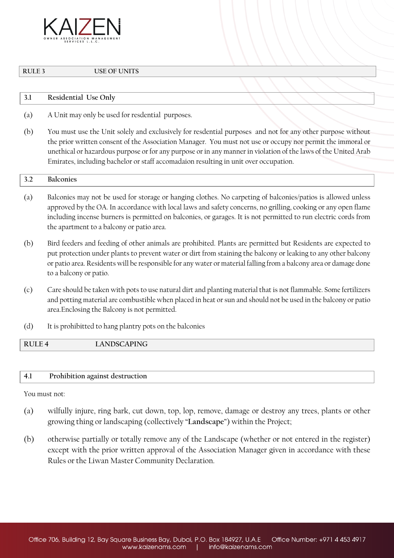

**RULE 3 USE OF UNITS** 

| KULE J               | USE UP UNITS         |  |  |  |  |  |
|----------------------|----------------------|--|--|--|--|--|
|                      |                      |  |  |  |  |  |
| $\mathcal{D}$<br>J.L | Residential Use Only |  |  |  |  |  |

- (a) A Unit may only be used for resdential purposes.
- (b) You must use the Unit solely and exclusively for resdential purposes and not for any other purpose without the prior written consent of the Association Manager. You must not use or occupy nor permit the immoral or unethical or hazardous purpose or for any purpose or in any manner in violation of the laws of the United Arab Emirates, including bachelor or staff accomadaion resulting in unit over occupation.

# **3.2 Balconies**

- (a) Balconies may not be used for storage or hanging clothes. No carpeting of balconies/patios is allowed unless approved by the OA. In accordance with local laws and safety concerns, no grilling, cooking or any open flame including incense burners is permitted on balconies, or garages. It is not permitted to run electric cords from the apartment to a balcony or patio area.
- (b) Bird feeders and feeding of other animals are prohibited. Plants are permitted but Residents are expected to put protection under plants to prevent water or dirt from staining the balcony or leaking to any other balcony or patio area. Residents will be responsible for any water or material falling from a balcony area or damage done to a balcony or patio.
- (c) Care should be taken with pots to use natural dirt and planting material that is not flammable. Some fertilizers and potting material are combustible when placed in heat or sun and should not be used in the balcony or patio area.Enclosing the Balcony is not permitted.
- (d) It is prohibitted to hang plantry pots on the balconies

**RULE 4 LANDSCAPING**

# **4.1 Prohibition against destruction**

You must not:

- (a) wilfully injure, ring bark, cut down, top, lop, remove, damage or destroy any trees, plants or other growing thing or landscaping (collectively "**Landscape**") within the Project;
- (b) otherwise partially or totally remove any of the Landscape (whether or not entered in the register) except with the prior written approval of the Association Manager given in accordance with these Rules or the Liwan Master Community Declaration.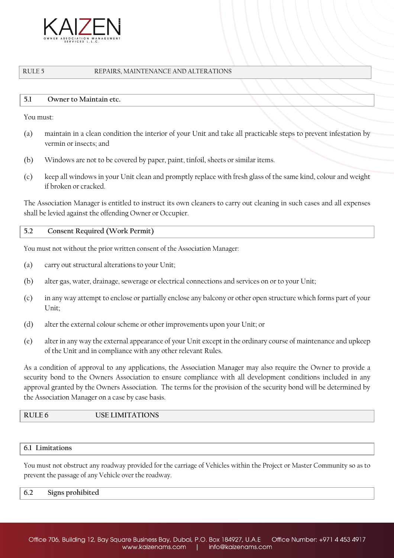

### RULE 5 REPAIRS, MAINTENANCE AND ALTERATIONS

### **5.1 Owner to Maintain etc.**

You must:

- (a) maintain in a clean condition the interior of your Unit and take all practicable steps to prevent infestation by vermin or insects; and
- (b) Windows are not to be covered by paper, paint, tinfoil, sheets or similar items.
- (c) keep all windows in your Unit clean and promptly replace with fresh glass of the same kind, colour and weight if broken or cracked.

The Association Manager is entitled to instruct its own cleaners to carry out cleaning in such cases and all expenses shall be levied against the offending Owner or Occupier.

**5.2 Consent Required (Work Permit)**

You must not without the prior written consent of the Association Manager:

- (a) carry out structural alterations to your Unit;
- (b) alter gas, water, drainage, sewerage or electrical connections and services on or to your Unit;
- (c) in any way attempt to enclose or partially enclose any balcony or other open structure which forms part of your Unit;
- (d) alter the external colour scheme or other improvements upon your Unit; or
- (e) alter in any way the external appearance of your Unit except in the ordinary course of maintenance and upkeep of the Unit and in compliance with any other relevant Rules.

As a condition of approval to any applications, the Association Manager may also require the Owner to provide a security bond to the Owners Association to ensure compliance with all development conditions included in any approval granted by the Owners Association. The terms for the provision of the security bond will be determined by the Association Manager on a case by case basis.

# **RULE 6 USE LIMITATIONS**

#### **6.1 Limitations**

You must not obstruct any roadway provided for the carriage of Vehicles within the Project or Master Community so as to prevent the passage of any Vehicle over the roadway.

| $\pm 6.2$ | Signs prohibited |  |
|-----------|------------------|--|
|           |                  |  |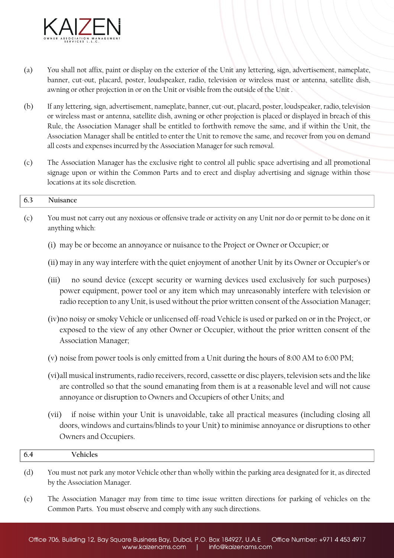

- (a) You shall not affix, paint or display on the exterior of the Unit any lettering, sign, advertisement, nameplate, banner, cut-out, placard, poster, loudspeaker, radio, television or wireless mast or antenna, satellite dish, awning or other projection in or on the Unit or visible from the outside of the Unit .
- (b) If any lettering, sign, advertisement, nameplate, banner, cut-out, placard, poster, loudspeaker, radio, television or wireless mast or antenna, satellite dish, awning or other projection is placed or displayed in breach of this Rule, the Association Manager shall be entitled to forthwith remove the same, and if within the Unit, the Association Manager shall be entitled to enter the Unit to remove the same, and recover from you on demand all costs and expenses incurred by the Association Manager for such removal.
- (c) The Association Manager has the exclusive right to control all public space advertising and all promotional signage upon or within the Common Parts and to erect and display advertising and signage within those locations at its sole discretion.

# **6.3 Nuisance**

- (c) You must not carry out any noxious or offensive trade or activity on any Unit nor do or permit to be done on it anything which:
	- (i) may be or become an annoyance or nuisance to the Project or Owner or Occupier; or
	- (ii) may in any way interfere with the quiet enjoyment of another Unit by its Owner or Occupier's or
	- (iii) no sound device (except security or warning devices used exclusively for such purposes) power equipment, power tool or any item which may unreasonably interfere with television or radio reception to any Unit, is used without the prior written consent of the Association Manager;
	- (iv)no noisy or smoky Vehicle or unlicensed off-road Vehicle is used or parked on or in the Project, or exposed to the view of any other Owner or Occupier, without the prior written consent of the Association Manager;
	- (v) noise from power tools is only emitted from a Unit during the hours of 8:00 AM to 6:00 PM;
	- (vi)all musical instruments, radio receivers, record, cassette or disc players, television sets and the like are controlled so that the sound emanating from them is at a reasonable level and will not cause annoyance or disruption to Owners and Occupiers of other Units; and
	- (vii) if noise within your Unit is unavoidable, take all practical measures (including closing all doors, windows and curtains/blinds to your Unit) to minimise annoyance or disruptions to other Owners and Occupiers.

| 0.4 |  |
|-----|--|

- (d) You must not park any motor Vehicle other than wholly within the parking area designated for it, as directed by the Association Manager.
- (e) The Association Manager may from time to time issue written directions for parking of vehicles on the Common Parts. You must observe and comply with any such directions.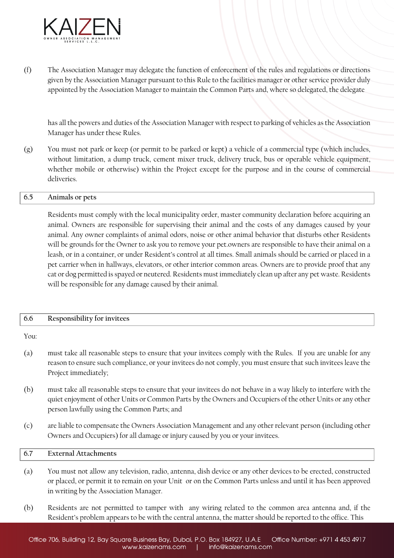

(f) The Association Manager may delegate the function of enforcement of the rules and regulations or directions given by the Association Manager pursuant to this Rule to the facilities manager or other service provider duly appointed by the Association Manager to maintain the Common Parts and, where so delegated, the delegate

has all the powers and duties of the Association Manager with respect to parking of vehicles as the Association Manager has under these Rules.

(g) You must not park or keep (or permit to be parked or kept) a vehicle of a commercial type (which includes, without limitation, a dump truck, cement mixer truck, delivery truck, bus or operable vehicle equipment, whether mobile or otherwise) within the Project except for the purpose and in the course of commercial deliveries.

# **6.5 Animals or pets**

Residents must comply with the local municipality order, master community declaration before acquiring an animal. Owners are responsible for supervising their animal and the costs of any damages caused by your animal. Any owner complaints of animal odors, noise or other animal behavior that disturbs other Residents will be grounds for the Owner to ask you to remove your pet.owners are responsible to have their animal on a leash, or in a container, or under Resident's control at all times. Small animals should be carried or placed in a pet carrier when in hallways, elevators, or other interior common areas. Owners are to provide proof that any cat or dog permitted is spayed or neutered. Residents must immediately clean up after any pet waste. Residents will be responsible for any damage caused by their animal.

| -6.6 | Responsibility for invitees |
|------|-----------------------------|
|------|-----------------------------|

You:

- (a) must take all reasonable steps to ensure that your invitees comply with the Rules. If you are unable for any reason to ensure such compliance, or your invitees do not comply, you must ensure that such invitees leave the Project immediately;
- (b) must take all reasonable steps to ensure that your invitees do not behave in a way likely to interfere with the quiet enjoyment of other Units or Common Parts by the Owners and Occupiers of the other Units or any other person lawfully using the Common Parts; and
- (c) are liable to compensate the Owners Association Management and any other relevant person (including other Owners and Occupiers) for all damage or injury caused by you or your invitees.

# **6.7 External Attachments**

- (a) You must not allow any television, radio, antenna, dish device or any other devices to be erected, constructed or placed, or permit it to remain on your Unit or on the Common Parts unless and until it has been approved in writing by the Association Manager.
- (b) Residents are not permitted to tamper with any wiring related to the common area antenna and, if the Resident's problem appears to be with the central antenna, the matter should be reported to the office. This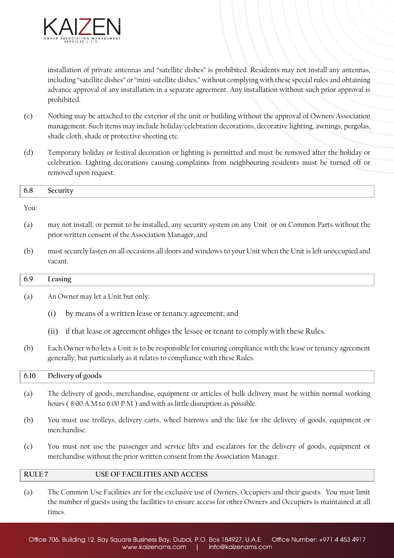

times.

installation of private antennas and "satellite dishes" is prohibited. Residents may not install any antennas, including "satellite dishes" or "mini-satellite dishes," without complying with these special rules and obtaining advance approval of any installation in a separate agreement. Any installation without such prior approval is prohibited.

- (c) Nothing may be attached to the exterior of the unit or building without the approval of Owners Association management. Such items may include holiday/celebration decorations, decorative lighting, awnings, pergolas, shade cloth, shade or protective sheeting etc.
- (d) Temporary holiday or festival decoration or lighting is permitted and must be removed after the holiday or celebration. Lighting decorations causing complaints from neighbouring residents must be turned off or removed upon request.

| 6.8               | Security                                                                                                                                                                                                                    |
|-------------------|-----------------------------------------------------------------------------------------------------------------------------------------------------------------------------------------------------------------------------|
| You:              |                                                                                                                                                                                                                             |
| (a)               | may not install, or permit to be installed, any security system on any Unit or on Common Parts without the<br>prior written consent of the Association Manager; and                                                         |
| (b)               | must securely fasten on all occasions all doors and windows to your Unit when the Unit is left unoccupied and<br>vacant.                                                                                                    |
| 6.9               | Leasing                                                                                                                                                                                                                     |
| (a)               | An Owner may let a Unit but only:                                                                                                                                                                                           |
|                   | by means of a written lease or tenancy agreement; and<br>(i)                                                                                                                                                                |
|                   | if that lease or agreement obliges the lessee or tenant to comply with these Rules.<br>(ii)                                                                                                                                 |
| (b)               | Each Owner who lets a Unit is to be responsible for ensuring compliance with the lease or tenancy agreement<br>generally, but particularly as it relates to compliance with these Rules.                                    |
| 6.10              | Delivery of goods                                                                                                                                                                                                           |
| (a)               | The delivery of goods, merchandise, equipment or articles of bulk delivery must be within normal working<br>hours (8:00 A.M to 6:00 P.M) and with as little disruption as possible.                                         |
| (b)               | You must use trolleys, delivery carts, wheel barrows and the like for the delivery of goods, equipment or<br>merchandise.                                                                                                   |
| (c)               | You must not use the passenger and service lifts and escalators for the delivery of goods, equipment or<br>merchandise without the prior written consent from the Association Manager.                                      |
| RULE <sub>7</sub> | <b>USE OF FACILITIES AND ACCESS</b>                                                                                                                                                                                         |
| (a)               | The Common Use Facilities are for the exclusive use of Owners, Occupiers and their guests. You must limit<br>the number of guests using the facilities to ensure access for other Owners and Occupiers is maintained at all |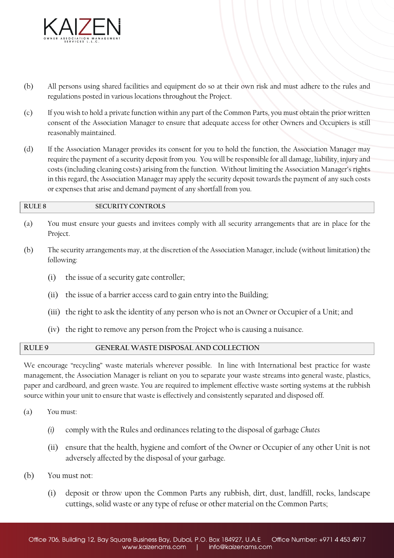

- (b) All persons using shared facilities and equipment do so at their own risk and must adhere to the rules and regulations posted in various locations throughout the Project.
- (c) If you wish to hold a private function within any part of the Common Parts, you must obtain the prior written consent of the Association Manager to ensure that adequate access for other Owners and Occupiers is still reasonably maintained.
- (d) If the Association Manager provides its consent for you to hold the function, the Association Manager may require the payment of a security deposit from you. You will be responsible for all damage, liability, injury and costs (including cleaning costs) arising from the function. Without limiting the Association Manager's rights in this regard, the Association Manager may apply the security deposit towards the payment of any such costs or expenses that arise and demand payment of any shortfall from you.

# **RULE 8 SECURITY CONTROLS**

- (a) You must ensure your guests and invitees comply with all security arrangements that are in place for the Project.
- (b) The security arrangements may, at the discretion of the Association Manager, include (without limitation) the following:
	- (i) the issue of a security gate controller;
	- (ii) the issue of a barrier access card to gain entry into the Building;
	- (iii) the right to ask the identity of any person who is not an Owner or Occupier of a Unit; and
	- (iv) the right to remove any person from the Project who is causing a nuisance.

# **RULE 9 GENERAL WASTE DISPOSAL AND COLLECTION**

We encourage "recycling" waste materials wherever possible. In line with International best practice for waste management, the Association Manager is reliant on you to separate your waste streams into general waste, plastics, paper and cardboard, and green waste. You are required to implement effective waste sorting systems at the rubbish source within your unit to ensure that waste is effectively and consistently separated and disposed off.

- (a) You must:
	- *(i)* comply with the Rules and ordinances relating to the disposal of garbage *Chutes*
	- (ii) ensure that the health, hygiene and comfort of the Owner or Occupier of any other Unit is not adversely affected by the disposal of your garbage.
- (b) You must not:
	- (i) deposit or throw upon the Common Parts any rubbish, dirt, dust, landfill, rocks, landscape cuttings, solid waste or any type of refuse or other material on the Common Parts;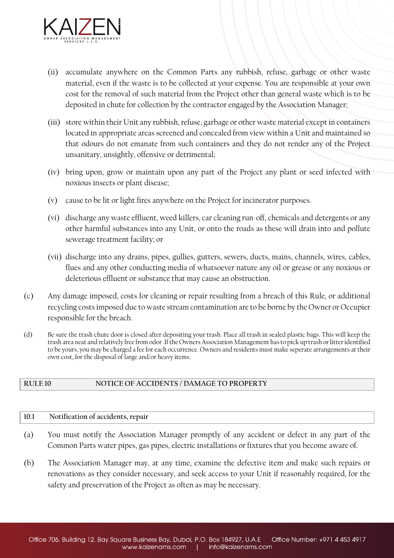

- (ii) accumulate anywhere on the Common Parts any rubbish, refuse, garbage or other waste material, even if the waste is to be collected at your expense. You are responsible at your own cost for the removal of such material from the Project other than general waste which is to be deposited in chute for collection by the contractor engaged by the Association Manager;
- (iii) store within their Unit any rubbish, refuse, garbage or other waste material except in containers located in appropriate areas screened and concealed from view within a Unit and maintained so that odours do not emanate from such containers and they do not render any of the Project unsanitary, unsightly, offensive or detrimental;
- (iv) bring upon, grow or maintain upon any part of the Project any plant or seed infected with noxious insects or plant disease;
- (v) cause to be lit or light fires anywhere on the Project for incinerator purposes.
- (vi) discharge any waste effluent, weed killers, car cleaning run-off, chemicals and detergents or any other harmful substances into any Unit, or onto the roads as these will drain into and pollute sewerage treatment facility; or
- (vii) discharge into any drains, pipes, gullies, gutters, sewers, ducts, mains, channels, wires, cables, flues and any other conducting media of whatsoever nature any oil or grease or any noxious or deleterious effluent or substance that may cause an obstruction.
- (c) Any damage imposed, costs for cleaning or repair resulting from a breach of this Rule, or additional recycling costs imposed due to waste stream contamination are to be borne by the Owner or Occupier responsible for the breach.
- (d) Be sure the trash chute door is closed after depositing your trash. Place all trash in sealed plastic bags. This will keep the trash area neat and relatively free from odor .If the Owners Association Management has to pick up trash or litter identified to be yours, you may be charged a fee for each occurrence. Owners and residents must make seperate arrangements at their own cost, for the disposal of large and/or heavy items.

# **RULE 10 NOTICE OF ACCIDENTS / DAMAGE TO PROPERTY**

# **10.1 Notification of accidents, repair**

- (a) You must notify the Association Manager promptly of any accident or defect in any part of the Common Parts water pipes, gas pipes, electric installations or fixtures that you become aware of.
- (b) The Association Manager may, at any time, examine the defective item and make such repairs or renovations as they consider necessary, and seek access to your Unit if reasonably required, for the safety and preservation of the Project as often as may be necessary.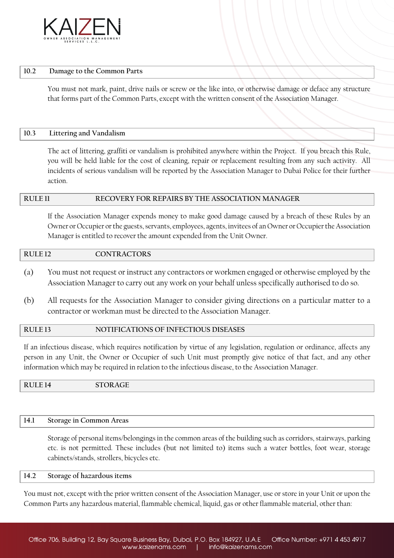

#### **10.2 Damage to the Common Parts**

You must not mark, paint, drive nails or screw or the like into, or otherwise damage or deface any structure that forms part of the Common Parts, except with the written consent of the Association Manager.

### **10.3 Littering and Vandalism**

The act of littering, graffiti or vandalism is prohibited anywhere within the Project. If you breach this Rule, you will be held liable for the cost of cleaning, repair or replacement resulting from any such activity. All incidents of serious vandalism will be reported by the Association Manager to Dubai Police for their further action.

# **RULE 11 RECOVERY FOR REPAIRS BY THE ASSOCIATION MANAGER**

If the Association Manager expends money to make good damage caused by a breach of these Rules by an Owner or Occupier or the guests, servants, employees, agents, invitees of an Owner or Occupier the Association Manager is entitled to recover the amount expended from the Unit Owner.

#### **RULE 12 CONTRACTORS**

- (a) You must not request or instruct any contractors or workmen engaged or otherwise employed by the Association Manager to carry out any work on your behalf unless specifically authorised to do so.
- (b) All requests for the Association Manager to consider giving directions on a particular matter to a contractor or workman must be directed to the Association Manager.

# **RULE 13 NOTIFICATIONS OF INFECTIOUS DISEASES**

If an infectious disease, which requires notification by virtue of any legislation, regulation or ordinance, affects any person in any Unit, the Owner or Occupier of such Unit must promptly give notice of that fact, and any other information which may be required in relation to the infectious disease, to the Association Manager.

**RULE 14 STORAGE** 

# **14.1 Storage in Common Areas**

Storage of personal items/belongings in the common areas of the building such as corridors, stairways, parking etc. is not permitted. These includes (but not limited to) items such a water bottles, foot wear, storage cabinets/stands, strollers, bicycles etc.

# **14.2 Storage of hazardous items**

You must not, except with the prior written consent of the Association Manager, use or store in your Unit or upon the Common Parts any hazardous material, flammable chemical, liquid, gas or other flammable material, other than: